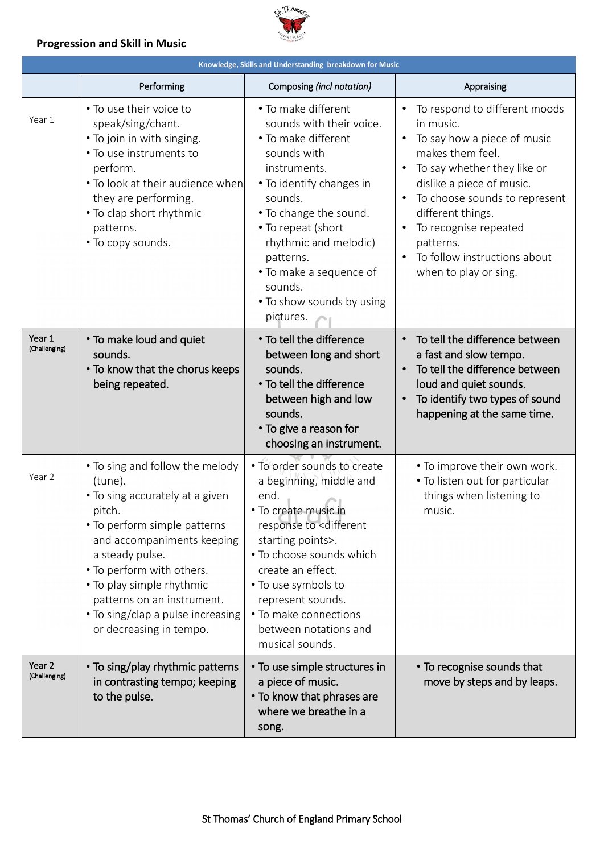

### **Progression and Skill in Music**

| Knowledge, Skills and Understanding breakdown for Music |                                                                                                                                                                                                                                                                                                                                  |                                                                                                                                                                                                                                                                                                                                  |                                                                                                                                                                                                                                                                                                                |  |  |  |
|---------------------------------------------------------|----------------------------------------------------------------------------------------------------------------------------------------------------------------------------------------------------------------------------------------------------------------------------------------------------------------------------------|----------------------------------------------------------------------------------------------------------------------------------------------------------------------------------------------------------------------------------------------------------------------------------------------------------------------------------|----------------------------------------------------------------------------------------------------------------------------------------------------------------------------------------------------------------------------------------------------------------------------------------------------------------|--|--|--|
|                                                         | Performing                                                                                                                                                                                                                                                                                                                       | Composing (incl notation)                                                                                                                                                                                                                                                                                                        | Appraising                                                                                                                                                                                                                                                                                                     |  |  |  |
| Year 1                                                  | • To use their voice to<br>speak/sing/chant.<br>. To join in with singing.<br>• To use instruments to<br>perform.<br>• To look at their audience when<br>they are performing.<br>• To clap short rhythmic<br>patterns.<br>• To copy sounds.                                                                                      | • To make different<br>sounds with their voice.<br>• To make different<br>sounds with<br>instruments.<br>• To identify changes in<br>sounds.<br>• To change the sound.<br>• To repeat (short<br>rhythmic and melodic)<br>patterns.<br>• To make a sequence of<br>sounds.<br>• To show sounds by using<br>pictures.               | To respond to different moods<br>in music.<br>To say how a piece of music<br>makes them feel.<br>To say whether they like or<br>dislike a piece of music.<br>To choose sounds to represent<br>different things.<br>To recognise repeated<br>patterns.<br>To follow instructions about<br>when to play or sing. |  |  |  |
| Year 1<br>(Challenging)                                 | • To make loud and quiet<br>sounds.<br>• To know that the chorus keeps<br>being repeated.                                                                                                                                                                                                                                        | • To tell the difference<br>between long and short<br>sounds.<br>• To tell the difference<br>between high and low<br>sounds.<br>• To give a reason for<br>choosing an instrument.                                                                                                                                                | To tell the difference between<br>a fast and slow tempo.<br>To tell the difference between<br>$\bullet$<br>loud and quiet sounds.<br>To identify two types of sound<br>happening at the same time.                                                                                                             |  |  |  |
| Year 2                                                  | • To sing and follow the melody<br>(tune).<br>• To sing accurately at a given<br>pitch.<br>• To perform simple patterns<br>and accompaniments keeping<br>a steady pulse.<br>. To perform with others.<br>• To play simple rhythmic<br>patterns on an instrument.<br>. To sing/clap a pulse increasing<br>or decreasing in tempo. | . To order sounds to create<br>a beginning, middle and<br>end.<br>• To create music in<br>response to <different<br>starting points&gt;.<br/>• To choose sounds which<br/>create an effect.<br/>• To use symbols to<br/>represent sounds.<br/>• To make connections<br/>between notations and<br/>musical sounds.</different<br> | • To improve their own work.<br>. To listen out for particular<br>things when listening to<br>music.                                                                                                                                                                                                           |  |  |  |
| Year <sub>2</sub><br>(Challenging)                      | • To sing/play rhythmic patterns<br>in contrasting tempo; keeping<br>to the pulse.                                                                                                                                                                                                                                               | • To use simple structures in<br>a piece of music.<br>• To know that phrases are<br>where we breathe in a<br>song.                                                                                                                                                                                                               | • To recognise sounds that<br>move by steps and by leaps.                                                                                                                                                                                                                                                      |  |  |  |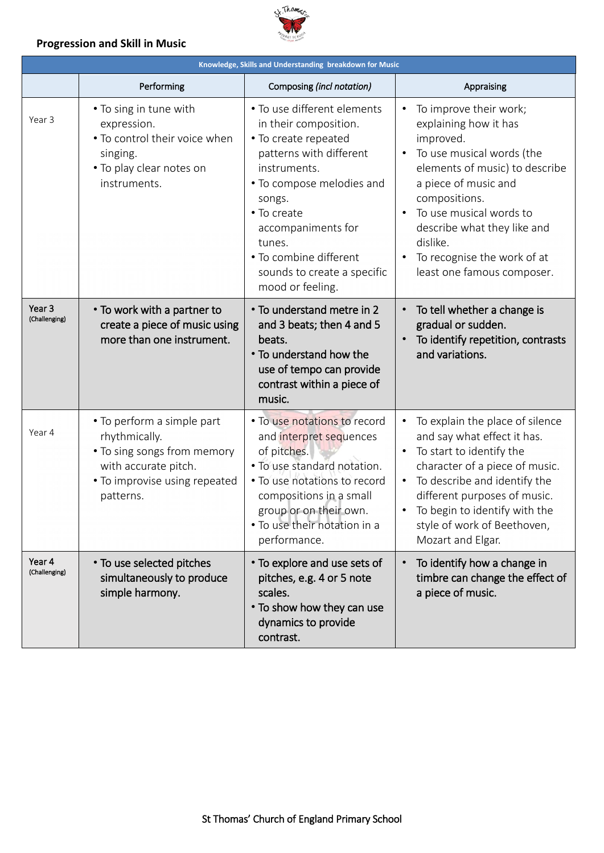

### **Progression and Skill in Music**

| Knowledge, Skills and Understanding breakdown for Music |                                                                                                                                                  |                                                                                                                                                                                                                                                                                            |                                                                                                                                                                                                                                                                                                         |  |  |
|---------------------------------------------------------|--------------------------------------------------------------------------------------------------------------------------------------------------|--------------------------------------------------------------------------------------------------------------------------------------------------------------------------------------------------------------------------------------------------------------------------------------------|---------------------------------------------------------------------------------------------------------------------------------------------------------------------------------------------------------------------------------------------------------------------------------------------------------|--|--|
|                                                         | Performing                                                                                                                                       | Composing (incl notation)                                                                                                                                                                                                                                                                  | Appraising                                                                                                                                                                                                                                                                                              |  |  |
| Year 3                                                  | • To sing in tune with<br>expression.<br>• To control their voice when<br>singing.<br>. To play clear notes on<br>instruments.                   | • To use different elements<br>in their composition.<br>• To create repeated<br>patterns with different<br>instruments.<br>• To compose melodies and<br>songs.<br>• To create<br>accompaniments for<br>tunes.<br>• To combine different<br>sounds to create a specific<br>mood or feeling. | To improve their work;<br>explaining how it has<br>improved.<br>To use musical words (the<br>elements of music) to describe<br>a piece of music and<br>compositions.<br>To use musical words to<br>describe what they like and<br>dislike.<br>To recognise the work of at<br>least one famous composer. |  |  |
| Year <sub>3</sub><br>(Challenging)                      | • To work with a partner to<br>create a piece of music using<br>more than one instrument.                                                        | • To understand metre in 2<br>and 3 beats; then 4 and 5<br>beats.<br>• To understand how the<br>use of tempo can provide<br>contrast within a piece of<br>music.                                                                                                                           | To tell whether a change is<br>gradual or sudden.<br>To identify repetition, contrasts<br>and variations.                                                                                                                                                                                               |  |  |
| Year 4                                                  | • To perform a simple part<br>rhythmically.<br>• To sing songs from memory<br>with accurate pitch.<br>• To improvise using repeated<br>patterns. | . To use notations to record<br>and interpret sequences<br>of pitches.<br>. To use standard notation.<br>• To use notations to record<br>compositions in a small<br>group or on their own.<br>• To use their notation in a<br>performance.                                                 | To explain the place of silence<br>$\bullet$<br>and say what effect it has.<br>To start to identify the<br>character of a piece of music.<br>To describe and identify the<br>different purposes of music.<br>To begin to identify with the<br>style of work of Beethoven,<br>Mozart and Elgar.          |  |  |
| Year 4<br>(Challenging)                                 | • To use selected pitches<br>simultaneously to produce<br>simple harmony.                                                                        | • To explore and use sets of<br>pitches, e.g. 4 or 5 note<br>scales.<br>• To show how they can use<br>dynamics to provide<br>contrast.                                                                                                                                                     | To identify how a change in<br>timbre can change the effect of<br>a piece of music.                                                                                                                                                                                                                     |  |  |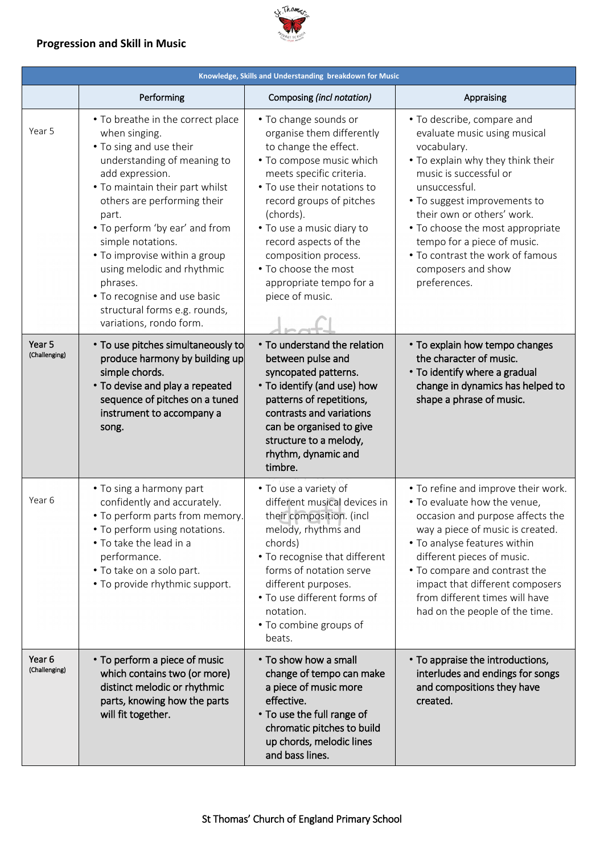### **Progression and Skill in Music**



| Knowledge, Skills and Understanding breakdown for Music |                                                                                                                                                                                                                                                                                                                                                                                                                                          |                                                                                                                                                                                                                                                                                                                                                                 |                                                                                                                                                                                                                                                                                                                                                                      |  |  |  |
|---------------------------------------------------------|------------------------------------------------------------------------------------------------------------------------------------------------------------------------------------------------------------------------------------------------------------------------------------------------------------------------------------------------------------------------------------------------------------------------------------------|-----------------------------------------------------------------------------------------------------------------------------------------------------------------------------------------------------------------------------------------------------------------------------------------------------------------------------------------------------------------|----------------------------------------------------------------------------------------------------------------------------------------------------------------------------------------------------------------------------------------------------------------------------------------------------------------------------------------------------------------------|--|--|--|
|                                                         | Performing                                                                                                                                                                                                                                                                                                                                                                                                                               | Composing (incl notation)                                                                                                                                                                                                                                                                                                                                       | Appraising                                                                                                                                                                                                                                                                                                                                                           |  |  |  |
| Year 5                                                  | • To breathe in the correct place<br>when singing.<br>• To sing and use their<br>understanding of meaning to<br>add expression.<br>. To maintain their part whilst<br>others are performing their<br>part.<br>• To perform 'by ear' and from<br>simple notations.<br>• To improvise within a group<br>using melodic and rhythmic<br>phrases.<br>• To recognise and use basic<br>structural forms e.g. rounds,<br>variations, rondo form. | • To change sounds or<br>organise them differently<br>to change the effect.<br>• To compose music which<br>meets specific criteria.<br>• To use their notations to<br>record groups of pitches<br>(chords).<br>• To use a music diary to<br>record aspects of the<br>composition process.<br>• To choose the most<br>appropriate tempo for a<br>piece of music. | • To describe, compare and<br>evaluate music using musical<br>vocabulary.<br>. To explain why they think their<br>music is successful or<br>unsuccessful.<br>• To suggest improvements to<br>their own or others' work.<br>• To choose the most appropriate<br>tempo for a piece of music.<br>• To contrast the work of famous<br>composers and show<br>preferences. |  |  |  |
| Year <sub>5</sub><br>(Challenging)                      | • To use pitches simultaneously to<br>produce harmony by building up<br>simple chords.<br>• To devise and play a repeated<br>sequence of pitches on a tuned<br>instrument to accompany a<br>song.                                                                                                                                                                                                                                        | • To understand the relation<br>between pulse and<br>syncopated patterns.<br>• To identify (and use) how<br>patterns of repetitions,<br>contrasts and variations<br>can be organised to give<br>structure to a melody,<br>rhythm, dynamic and<br>timbre.                                                                                                        | • To explain how tempo changes<br>the character of music.<br>• To identify where a gradual<br>change in dynamics has helped to<br>shape a phrase of music.                                                                                                                                                                                                           |  |  |  |
| Year 6                                                  | . To sing a harmony part<br>confidently and accurately.<br>• To perform parts from memory.<br>• To perform using notations.<br>. To take the lead in a<br>performance.<br>. To take on a solo part.<br>• To provide rhythmic support.                                                                                                                                                                                                    | • To use a variety of<br>different musical devices in<br>their composition. (incl<br>melody, rhythms and<br>chords)<br>• To recognise that different<br>forms of notation serve<br>different purposes.<br>• To use different forms of<br>notation.<br>• To combine groups of<br>beats.                                                                          | • To refine and improve their work.<br>. To evaluate how the venue,<br>occasion and purpose affects the<br>way a piece of music is created.<br>• To analyse features within<br>different pieces of music.<br>• To compare and contrast the<br>impact that different composers<br>from different times will have<br>had on the people of the time.                    |  |  |  |
| Year <sub>6</sub><br>(Challenging)                      | • To perform a piece of music<br>which contains two (or more)<br>distinct melodic or rhythmic<br>parts, knowing how the parts<br>will fit together.                                                                                                                                                                                                                                                                                      | • To show how a small<br>change of tempo can make<br>a piece of music more<br>effective.<br>• To use the full range of<br>chromatic pitches to build<br>up chords, melodic lines<br>and bass lines.                                                                                                                                                             | • To appraise the introductions,<br>interludes and endings for songs<br>and compositions they have<br>created.                                                                                                                                                                                                                                                       |  |  |  |